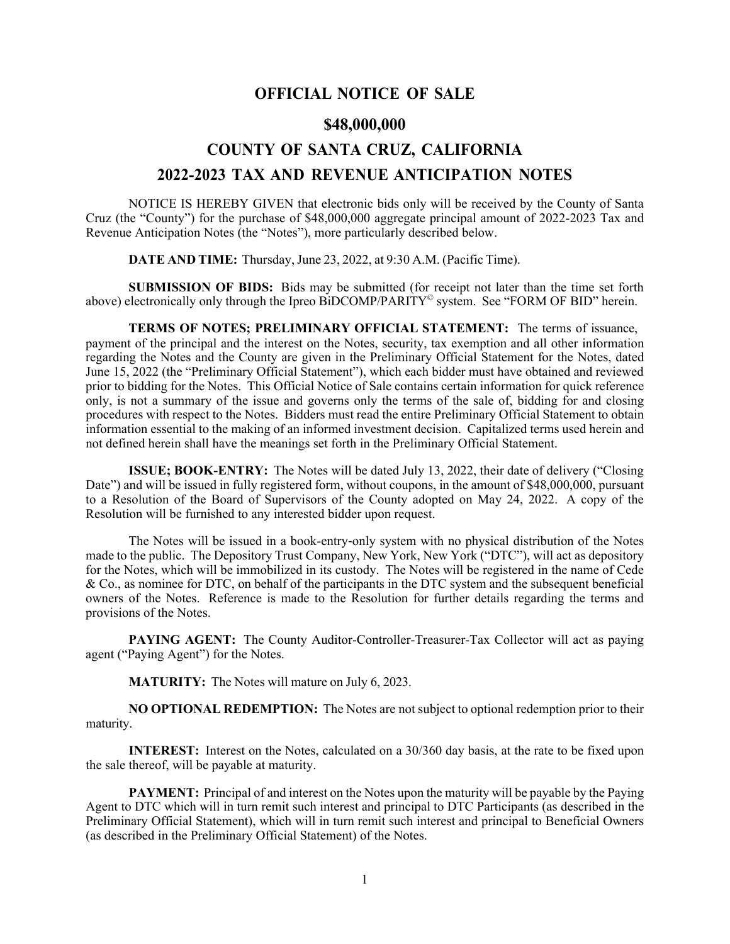## **OFFICIAL NOTICE OF SALE**

## **\$48,000,000**

# **COUNTY OF SANTA CRUZ, CALIFORNIA 2022-2023 TAX AND REVENUE ANTICIPATION NOTES**

NOTICE IS HEREBY GIVEN that electronic bids only will be received by the County of Santa Cruz (the "County") for the purchase of \$48,000,000 aggregate principal amount of 2022-2023 Tax and Revenue Anticipation Notes (the "Notes"), more particularly described below.

**DATE AND TIME:** Thursday, June 23, 2022, at 9:30 A.M. (Pacific Time).

**SUBMISSION OF BIDS:** Bids may be submitted (for receipt not later than the time set forth above) electronically only through the Ipreo BiDCOMP/PARITY<sup>©</sup> system. See "FORM OF BID" herein.

**TERMS OF NOTES; PRELIMINARY OFFICIAL STATEMENT:** The terms of issuance, payment of the principal and the interest on the Notes, security, tax exemption and all other information regarding the Notes and the County are given in the Preliminary Official Statement for the Notes, dated June 15, 2022 (the "Preliminary Official Statement"), which each bidder must have obtained and reviewed prior to bidding for the Notes. This Official Notice of Sale contains certain information for quick reference only, is not a summary of the issue and governs only the terms of the sale of, bidding for and closing procedures with respect to the Notes. Bidders must read the entire Preliminary Official Statement to obtain information essential to the making of an informed investment decision. Capitalized terms used herein and not defined herein shall have the meanings set forth in the Preliminary Official Statement.

**ISSUE; BOOK-ENTRY:** The Notes will be dated July 13, 2022, their date of delivery ("Closing Date") and will be issued in fully registered form, without coupons, in the amount of \$48,000,000, pursuant to a Resolution of the Board of Supervisors of the County adopted on May 24, 2022. A copy of the Resolution will be furnished to any interested bidder upon request.

The Notes will be issued in a book-entry-only system with no physical distribution of the Notes made to the public. The Depository Trust Company, New York, New York ("DTC"), will act as depository for the Notes, which will be immobilized in its custody. The Notes will be registered in the name of Cede & Co., as nominee for DTC, on behalf of the participants in the DTC system and the subsequent beneficial owners of the Notes. Reference is made to the Resolution for further details regarding the terms and provisions of the Notes.

**PAYING AGENT:** The County Auditor-Controller-Treasurer-Tax Collector will act as paying agent ("Paying Agent") for the Notes.

**MATURITY:** The Notes will mature on July 6, 2023.

**NO OPTIONAL REDEMPTION:** The Notes are not subject to optional redemption prior to their maturity.

**INTEREST:** Interest on the Notes, calculated on a 30/360 day basis, at the rate to be fixed upon the sale thereof, will be payable at maturity.

**PAYMENT:** Principal of and interest on the Notes upon the maturity will be payable by the Paying Agent to DTC which will in turn remit such interest and principal to DTC Participants (as described in the Preliminary Official Statement), which will in turn remit such interest and principal to Beneficial Owners (as described in the Preliminary Official Statement) of the Notes.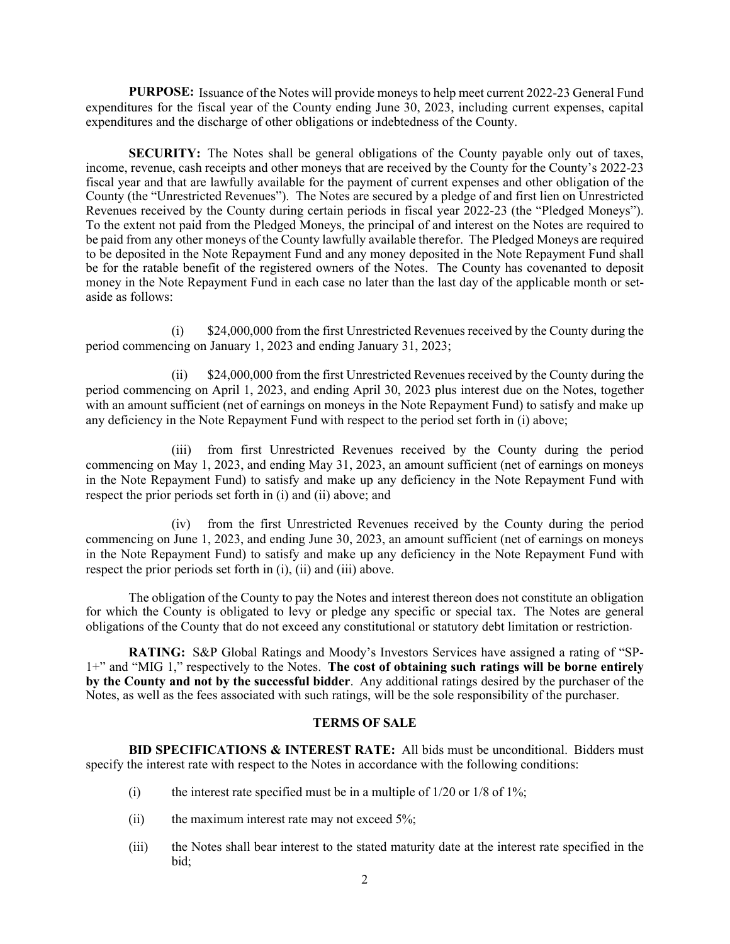**PURPOSE:** Issuance of the Notes will provide moneys to help meet current 2022-23 General Fund expenditures for the fiscal year of the County ending June 30, 2023, including current expenses, capital expenditures and the discharge of other obligations or indebtedness of the County.

**SECURITY:** The Notes shall be general obligations of the County payable only out of taxes, income, revenue, cash receipts and other moneys that are received by the County for the County's 2022-23 fiscal year and that are lawfully available for the payment of current expenses and other obligation of the County (the "Unrestricted Revenues"). The Notes are secured by a pledge of and first lien on Unrestricted Revenues received by the County during certain periods in fiscal year 2022-23 (the "Pledged Moneys"). To the extent not paid from the Pledged Moneys, the principal of and interest on the Notes are required to be paid from any other moneys of the County lawfully available therefor. The Pledged Moneys are required to be deposited in the Note Repayment Fund and any money deposited in the Note Repayment Fund shall be for the ratable benefit of the registered owners of the Notes. The County has covenanted to deposit money in the Note Repayment Fund in each case no later than the last day of the applicable month or setaside as follows:

(i) \$24,000,000 from the first Unrestricted Revenues received by the County during the period commencing on January 1, 2023 and ending January 31, 2023;

(ii) \$24,000,000 from the first Unrestricted Revenues received by the County during the period commencing on April 1, 2023, and ending April 30, 2023 plus interest due on the Notes, together with an amount sufficient (net of earnings on moneys in the Note Repayment Fund) to satisfy and make up any deficiency in the Note Repayment Fund with respect to the period set forth in (i) above;

(iii) from first Unrestricted Revenues received by the County during the period commencing on May 1, 2023, and ending May 31, 2023, an amount sufficient (net of earnings on moneys in the Note Repayment Fund) to satisfy and make up any deficiency in the Note Repayment Fund with respect the prior periods set forth in (i) and (ii) above; and

(iv) from the first Unrestricted Revenues received by the County during the period commencing on June 1, 2023, and ending June 30, 2023, an amount sufficient (net of earnings on moneys in the Note Repayment Fund) to satisfy and make up any deficiency in the Note Repayment Fund with respect the prior periods set forth in (i), (ii) and (iii) above.

The obligation of the County to pay the Notes and interest thereon does not constitute an obligation for which the County is obligated to levy or pledge any specific or special tax. The Notes are general obligations of the County that do not exceed any constitutional or statutory debt limitation or restriction.

**RATING:** S&P Global Ratings and Moody's Investors Services have assigned a rating of "SP-1+" and "MIG 1," respectively to the Notes. **The cost of obtaining such ratings will be borne entirely by the County and not by the successful bidder**. Any additional ratings desired by the purchaser of the Notes, as well as the fees associated with such ratings, will be the sole responsibility of the purchaser.

### **TERMS OF SALE**

**BID SPECIFICATIONS & INTEREST RATE:** All bids must be unconditional. Bidders must specify the interest rate with respect to the Notes in accordance with the following conditions:

- (i) the interest rate specified must be in a multiple of  $1/20$  or  $1/8$  of  $1\%$ ;
- (ii) the maximum interest rate may not exceed 5%;
- (iii) the Notes shall bear interest to the stated maturity date at the interest rate specified in the bid;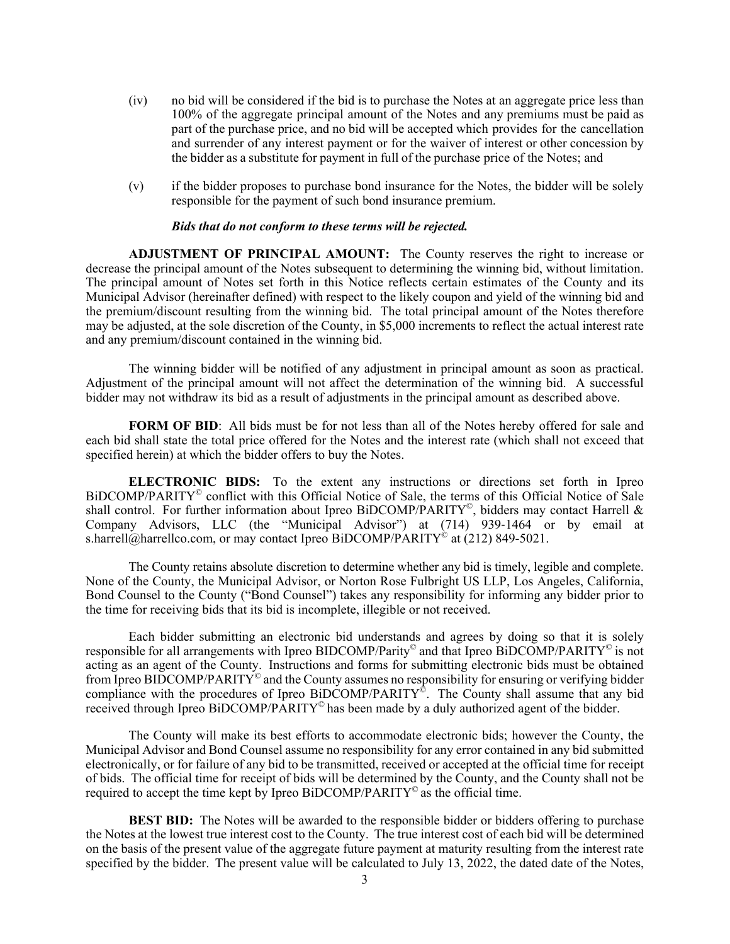- (iv) no bid will be considered if the bid is to purchase the Notes at an aggregate price less than 100% of the aggregate principal amount of the Notes and any premiums must be paid as part of the purchase price, and no bid will be accepted which provides for the cancellation and surrender of any interest payment or for the waiver of interest or other concession by the bidder as a substitute for payment in full of the purchase price of the Notes; and
- (v) if the bidder proposes to purchase bond insurance for the Notes, the bidder will be solely responsible for the payment of such bond insurance premium.

#### *Bids that do not conform to these terms will be rejected.*

**ADJUSTMENT OF PRINCIPAL AMOUNT:** The County reserves the right to increase or decrease the principal amount of the Notes subsequent to determining the winning bid, without limitation. The principal amount of Notes set forth in this Notice reflects certain estimates of the County and its Municipal Advisor (hereinafter defined) with respect to the likely coupon and yield of the winning bid and the premium/discount resulting from the winning bid. The total principal amount of the Notes therefore may be adjusted, at the sole discretion of the County, in \$5,000 increments to reflect the actual interest rate and any premium/discount contained in the winning bid.

The winning bidder will be notified of any adjustment in principal amount as soon as practical. Adjustment of the principal amount will not affect the determination of the winning bid. A successful bidder may not withdraw its bid as a result of adjustments in the principal amount as described above.

FORM OF BID: All bids must be for not less than all of the Notes hereby offered for sale and each bid shall state the total price offered for the Notes and the interest rate (which shall not exceed that specified herein) at which the bidder offers to buy the Notes.

**ELECTRONIC BIDS:** To the extent any instructions or directions set forth in Ipreo BiDCOMP/PARITY<sup>©</sup> conflict with this Official Notice of Sale, the terms of this Official Notice of Sale shall control. For further information about Ipreo BiDCOMP/PARITY<sup>©</sup>, bidders may contact Harrell & Company Advisors, LLC (the "Municipal Advisor") at (714) 939-1464 or by email at s.harrell@harrellco.com, or may contact Ipreo BiDCOMP/PARITY<sup>©</sup> at (212) 849-5021.

The County retains absolute discretion to determine whether any bid is timely, legible and complete. None of the County, the Municipal Advisor, or Norton Rose Fulbright US LLP, Los Angeles, California, Bond Counsel to the County ("Bond Counsel") takes any responsibility for informing any bidder prior to the time for receiving bids that its bid is incomplete, illegible or not received.

Each bidder submitting an electronic bid understands and agrees by doing so that it is solely responsible for all arrangements with Ipreo BIDCOMP/Parity© and that Ipreo BiDCOMP/PARITY© is not acting as an agent of the County. Instructions and forms for submitting electronic bids must be obtained from Ipreo BIDCOMP/PARITY<sup>®</sup> and the County assumes no responsibility for ensuring or verifying bidder compliance with the procedures of Ipreo BiDCOMP/PARITY<sup>®</sup>. The County shall assume that any bid received through Ipreo BiDCOMP/PARITY<sup>®</sup> has been made by a duly authorized agent of the bidder.

The County will make its best efforts to accommodate electronic bids; however the County, the Municipal Advisor and Bond Counsel assume no responsibility for any error contained in any bid submitted electronically, or for failure of any bid to be transmitted, received or accepted at the official time for receipt of bids. The official time for receipt of bids will be determined by the County, and the County shall not be required to accept the time kept by Ipreo BiDCOMP/PARITY<sup>©</sup> as the official time.

**BEST BID:** The Notes will be awarded to the responsible bidder or bidders offering to purchase the Notes at the lowest true interest cost to the County. The true interest cost of each bid will be determined on the basis of the present value of the aggregate future payment at maturity resulting from the interest rate specified by the bidder. The present value will be calculated to July 13, 2022, the dated date of the Notes,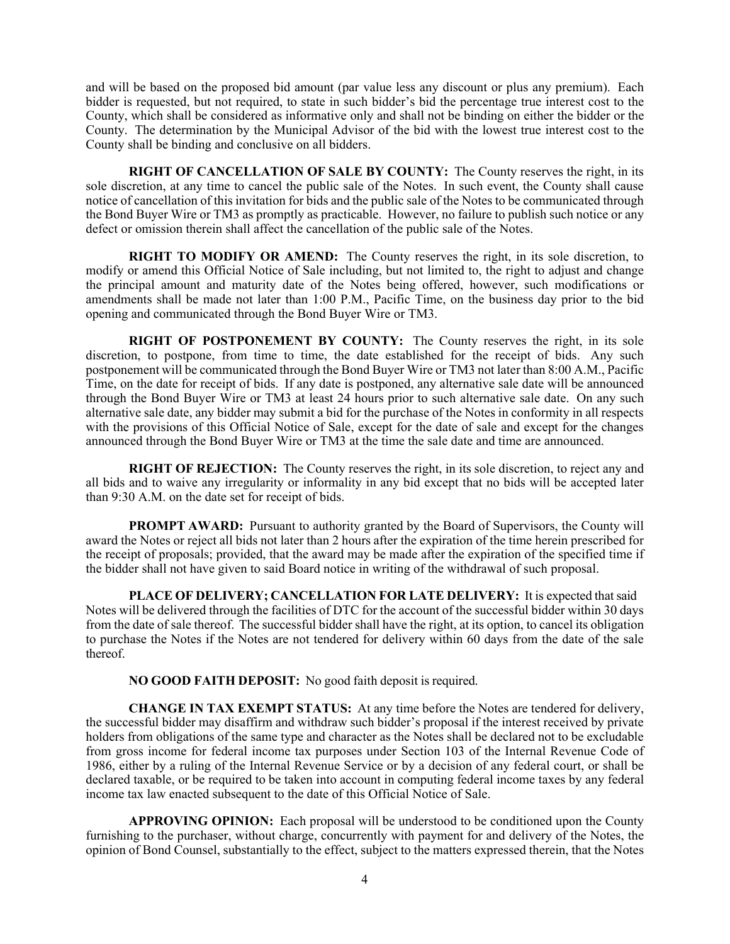and will be based on the proposed bid amount (par value less any discount or plus any premium). Each bidder is requested, but not required, to state in such bidder's bid the percentage true interest cost to the County, which shall be considered as informative only and shall not be binding on either the bidder or the County. The determination by the Municipal Advisor of the bid with the lowest true interest cost to the County shall be binding and conclusive on all bidders.

**RIGHT OF CANCELLATION OF SALE BY COUNTY:** The County reserves the right, in its sole discretion, at any time to cancel the public sale of the Notes. In such event, the County shall cause notice of cancellation of this invitation for bids and the public sale of the Notes to be communicated through the Bond Buyer Wire or TM3 as promptly as practicable. However, no failure to publish such notice or any defect or omission therein shall affect the cancellation of the public sale of the Notes.

**RIGHT TO MODIFY OR AMEND:** The County reserves the right, in its sole discretion, to modify or amend this Official Notice of Sale including, but not limited to, the right to adjust and change the principal amount and maturity date of the Notes being offered, however, such modifications or amendments shall be made not later than 1:00 P.M., Pacific Time, on the business day prior to the bid opening and communicated through the Bond Buyer Wire or TM3.

**RIGHT OF POSTPONEMENT BY COUNTY:** The County reserves the right, in its sole discretion, to postpone, from time to time, the date established for the receipt of bids. Any such postponement will be communicated through the Bond Buyer Wire or TM3 not later than 8:00 A.M., Pacific Time, on the date for receipt of bids. If any date is postponed, any alternative sale date will be announced through the Bond Buyer Wire or TM3 at least 24 hours prior to such alternative sale date. On any such alternative sale date, any bidder may submit a bid for the purchase of the Notes in conformity in all respects with the provisions of this Official Notice of Sale, except for the date of sale and except for the changes announced through the Bond Buyer Wire or TM3 at the time the sale date and time are announced.

**RIGHT OF REJECTION:** The County reserves the right, in its sole discretion, to reject any and all bids and to waive any irregularity or informality in any bid except that no bids will be accepted later than 9:30 A.M. on the date set for receipt of bids.

**PROMPT AWARD:** Pursuant to authority granted by the Board of Supervisors, the County will award the Notes or reject all bids not later than 2 hours after the expiration of the time herein prescribed for the receipt of proposals; provided, that the award may be made after the expiration of the specified time if the bidder shall not have given to said Board notice in writing of the withdrawal of such proposal.

**PLACE OF DELIVERY; CANCELLATION FOR LATE DELIVERY:** It is expected that said Notes will be delivered through the facilities of DTC for the account of the successful bidder within 30 days from the date of sale thereof. The successful bidder shall have the right, at its option, to cancel its obligation to purchase the Notes if the Notes are not tendered for delivery within 60 days from the date of the sale thereof.

**NO GOOD FAITH DEPOSIT:** No good faith deposit is required.

**CHANGE IN TAX EXEMPT STATUS:** At any time before the Notes are tendered for delivery, the successful bidder may disaffirm and withdraw such bidder's proposal if the interest received by private holders from obligations of the same type and character as the Notes shall be declared not to be excludable from gross income for federal income tax purposes under Section 103 of the Internal Revenue Code of 1986, either by a ruling of the Internal Revenue Service or by a decision of any federal court, or shall be declared taxable, or be required to be taken into account in computing federal income taxes by any federal income tax law enacted subsequent to the date of this Official Notice of Sale.

**APPROVING OPINION:** Each proposal will be understood to be conditioned upon the County furnishing to the purchaser, without charge, concurrently with payment for and delivery of the Notes, the opinion of Bond Counsel, substantially to the effect, subject to the matters expressed therein, that the Notes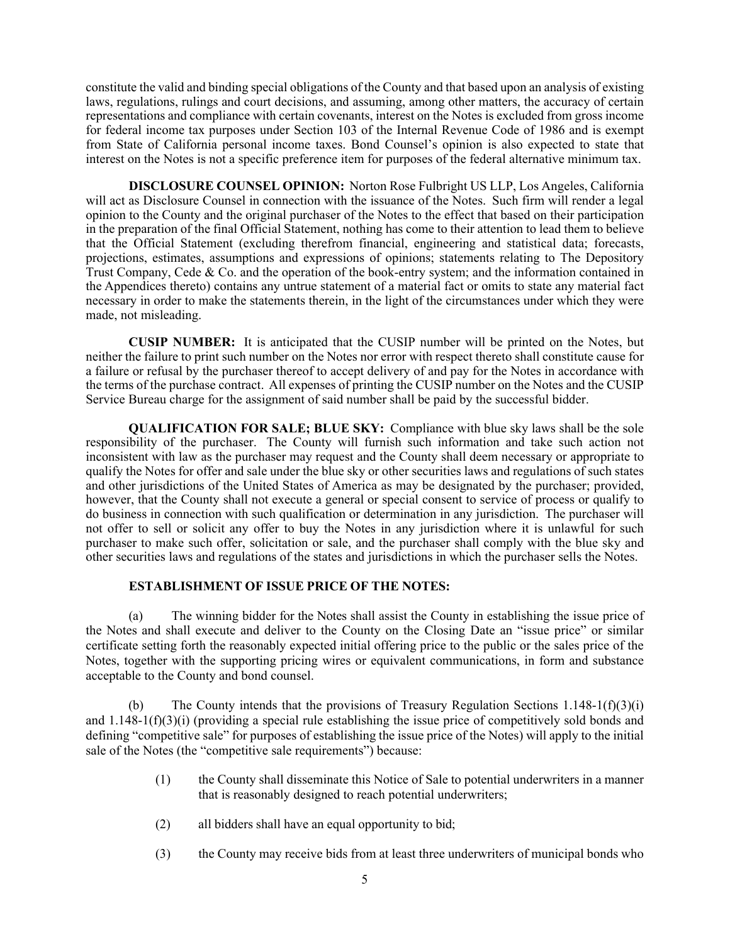constitute the valid and binding special obligations of the County and that based upon an analysis of existing laws, regulations, rulings and court decisions, and assuming, among other matters, the accuracy of certain representations and compliance with certain covenants, interest on the Notes is excluded from gross income for federal income tax purposes under Section 103 of the Internal Revenue Code of 1986 and is exempt from State of California personal income taxes. Bond Counsel's opinion is also expected to state that interest on the Notes is not a specific preference item for purposes of the federal alternative minimum tax.

**DISCLOSURE COUNSEL OPINION:** Norton Rose Fulbright US LLP, Los Angeles, California will act as Disclosure Counsel in connection with the issuance of the Notes. Such firm will render a legal opinion to the County and the original purchaser of the Notes to the effect that based on their participation in the preparation of the final Official Statement, nothing has come to their attention to lead them to believe that the Official Statement (excluding therefrom financial, engineering and statistical data; forecasts, projections, estimates, assumptions and expressions of opinions; statements relating to The Depository Trust Company, Cede & Co. and the operation of the book-entry system; and the information contained in the Appendices thereto) contains any untrue statement of a material fact or omits to state any material fact necessary in order to make the statements therein, in the light of the circumstances under which they were made, not misleading.

**CUSIP NUMBER:** It is anticipated that the CUSIP number will be printed on the Notes, but neither the failure to print such number on the Notes nor error with respect thereto shall constitute cause for a failure or refusal by the purchaser thereof to accept delivery of and pay for the Notes in accordance with the terms of the purchase contract. All expenses of printing the CUSIP number on the Notes and the CUSIP Service Bureau charge for the assignment of said number shall be paid by the successful bidder.

**QUALIFICATION FOR SALE; BLUE SKY:** Compliance with blue sky laws shall be the sole responsibility of the purchaser. The County will furnish such information and take such action not inconsistent with law as the purchaser may request and the County shall deem necessary or appropriate to qualify the Notes for offer and sale under the blue sky or other securities laws and regulations of such states and other jurisdictions of the United States of America as may be designated by the purchaser; provided, however, that the County shall not execute a general or special consent to service of process or qualify to do business in connection with such qualification or determination in any jurisdiction. The purchaser will not offer to sell or solicit any offer to buy the Notes in any jurisdiction where it is unlawful for such purchaser to make such offer, solicitation or sale, and the purchaser shall comply with the blue sky and other securities laws and regulations of the states and jurisdictions in which the purchaser sells the Notes.

#### **ESTABLISHMENT OF ISSUE PRICE OF THE NOTES:**

(a) The winning bidder for the Notes shall assist the County in establishing the issue price of the Notes and shall execute and deliver to the County on the Closing Date an "issue price" or similar certificate setting forth the reasonably expected initial offering price to the public or the sales price of the Notes, together with the supporting pricing wires or equivalent communications, in form and substance acceptable to the County and bond counsel.

(b) The County intends that the provisions of Treasury Regulation Sections  $1.148-1(f)(3)(i)$ and 1.148-1(f)(3)(i) (providing a special rule establishing the issue price of competitively sold bonds and defining "competitive sale" for purposes of establishing the issue price of the Notes) will apply to the initial sale of the Notes (the "competitive sale requirements") because:

- (1) the County shall disseminate this Notice of Sale to potential underwriters in a manner that is reasonably designed to reach potential underwriters;
- (2) all bidders shall have an equal opportunity to bid;
- (3) the County may receive bids from at least three underwriters of municipal bonds who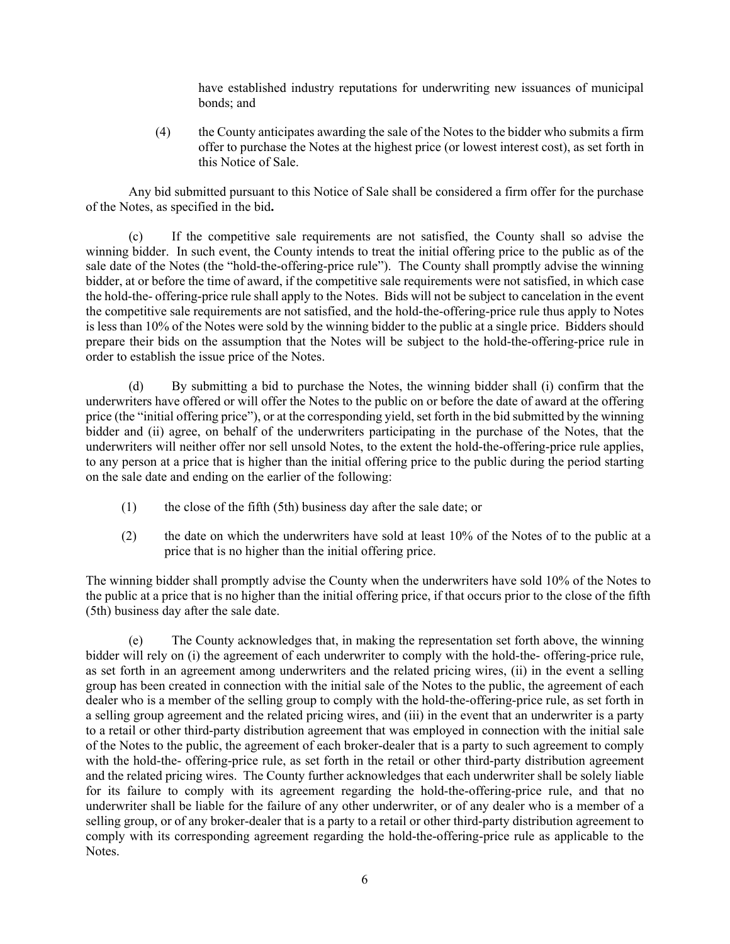have established industry reputations for underwriting new issuances of municipal bonds; and

(4) the County anticipates awarding the sale of the Notes to the bidder who submits a firm offer to purchase the Notes at the highest price (or lowest interest cost), as set forth in this Notice of Sale.

Any bid submitted pursuant to this Notice of Sale shall be considered a firm offer for the purchase of the Notes, as specified in the bid**.** 

(c) If the competitive sale requirements are not satisfied, the County shall so advise the winning bidder. In such event, the County intends to treat the initial offering price to the public as of the sale date of the Notes (the "hold-the-offering-price rule"). The County shall promptly advise the winning bidder, at or before the time of award, if the competitive sale requirements were not satisfied, in which case the hold-the- offering-price rule shall apply to the Notes. Bids will not be subject to cancelation in the event the competitive sale requirements are not satisfied, and the hold-the-offering-price rule thus apply to Notes is less than 10% of the Notes were sold by the winning bidder to the public at a single price. Bidders should prepare their bids on the assumption that the Notes will be subject to the hold-the-offering-price rule in order to establish the issue price of the Notes.

(d) By submitting a bid to purchase the Notes, the winning bidder shall (i) confirm that the underwriters have offered or will offer the Notes to the public on or before the date of award at the offering price (the "initial offering price"), or at the corresponding yield, set forth in the bid submitted by the winning bidder and (ii) agree, on behalf of the underwriters participating in the purchase of the Notes, that the underwriters will neither offer nor sell unsold Notes, to the extent the hold-the-offering-price rule applies, to any person at a price that is higher than the initial offering price to the public during the period starting on the sale date and ending on the earlier of the following:

- (1) the close of the fifth (5th) business day after the sale date; or
- (2) the date on which the underwriters have sold at least 10% of the Notes of to the public at a price that is no higher than the initial offering price.

The winning bidder shall promptly advise the County when the underwriters have sold 10% of the Notes to the public at a price that is no higher than the initial offering price, if that occurs prior to the close of the fifth (5th) business day after the sale date.

(e) The County acknowledges that, in making the representation set forth above, the winning bidder will rely on (i) the agreement of each underwriter to comply with the hold-the- offering-price rule, as set forth in an agreement among underwriters and the related pricing wires, (ii) in the event a selling group has been created in connection with the initial sale of the Notes to the public, the agreement of each dealer who is a member of the selling group to comply with the hold-the-offering-price rule, as set forth in a selling group agreement and the related pricing wires, and (iii) in the event that an underwriter is a party to a retail or other third-party distribution agreement that was employed in connection with the initial sale of the Notes to the public, the agreement of each broker-dealer that is a party to such agreement to comply with the hold-the- offering-price rule, as set forth in the retail or other third-party distribution agreement and the related pricing wires. The County further acknowledges that each underwriter shall be solely liable for its failure to comply with its agreement regarding the hold-the-offering-price rule, and that no underwriter shall be liable for the failure of any other underwriter, or of any dealer who is a member of a selling group, or of any broker-dealer that is a party to a retail or other third-party distribution agreement to comply with its corresponding agreement regarding the hold-the-offering-price rule as applicable to the Notes.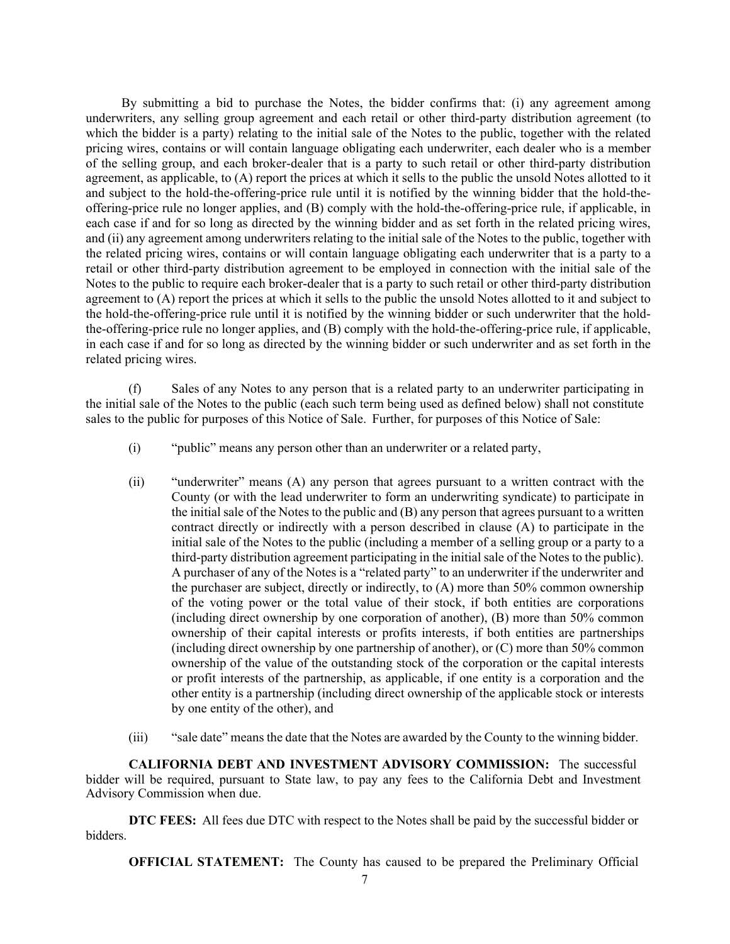By submitting a bid to purchase the Notes, the bidder confirms that: (i) any agreement among underwriters, any selling group agreement and each retail or other third-party distribution agreement (to which the bidder is a party) relating to the initial sale of the Notes to the public, together with the related pricing wires, contains or will contain language obligating each underwriter, each dealer who is a member of the selling group, and each broker-dealer that is a party to such retail or other third-party distribution agreement, as applicable, to (A) report the prices at which it sells to the public the unsold Notes allotted to it and subject to the hold-the-offering-price rule until it is notified by the winning bidder that the hold-theoffering-price rule no longer applies, and (B) comply with the hold-the-offering-price rule, if applicable, in each case if and for so long as directed by the winning bidder and as set forth in the related pricing wires, and (ii) any agreement among underwriters relating to the initial sale of the Notes to the public, together with the related pricing wires, contains or will contain language obligating each underwriter that is a party to a retail or other third-party distribution agreement to be employed in connection with the initial sale of the Notes to the public to require each broker-dealer that is a party to such retail or other third-party distribution agreement to (A) report the prices at which it sells to the public the unsold Notes allotted to it and subject to the hold-the-offering-price rule until it is notified by the winning bidder or such underwriter that the holdthe-offering-price rule no longer applies, and (B) comply with the hold-the-offering-price rule, if applicable, in each case if and for so long as directed by the winning bidder or such underwriter and as set forth in the related pricing wires.

(f) Sales of any Notes to any person that is a related party to an underwriter participating in the initial sale of the Notes to the public (each such term being used as defined below) shall not constitute sales to the public for purposes of this Notice of Sale. Further, for purposes of this Notice of Sale:

- (i) "public" means any person other than an underwriter or a related party,
- (ii) "underwriter" means (A) any person that agrees pursuant to a written contract with the County (or with the lead underwriter to form an underwriting syndicate) to participate in the initial sale of the Notes to the public and (B) any person that agrees pursuant to a written contract directly or indirectly with a person described in clause (A) to participate in the initial sale of the Notes to the public (including a member of a selling group or a party to a third-party distribution agreement participating in the initial sale of the Notes to the public). A purchaser of any of the Notes is a "related party" to an underwriter if the underwriter and the purchaser are subject, directly or indirectly, to (A) more than 50% common ownership of the voting power or the total value of their stock, if both entities are corporations (including direct ownership by one corporation of another), (B) more than 50% common ownership of their capital interests or profits interests, if both entities are partnerships (including direct ownership by one partnership of another), or (C) more than 50% common ownership of the value of the outstanding stock of the corporation or the capital interests or profit interests of the partnership, as applicable, if one entity is a corporation and the other entity is a partnership (including direct ownership of the applicable stock or interests by one entity of the other), and
- (iii) "sale date" means the date that the Notes are awarded by the County to the winning bidder.

**CALIFORNIA DEBT AND INVESTMENT ADVISORY COMMISSION:** The successful bidder will be required, pursuant to State law, to pay any fees to the California Debt and Investment Advisory Commission when due.

**DTC FEES:** All fees due DTC with respect to the Notes shall be paid by the successful bidder or bidders.

**OFFICIAL STATEMENT:** The County has caused to be prepared the Preliminary Official